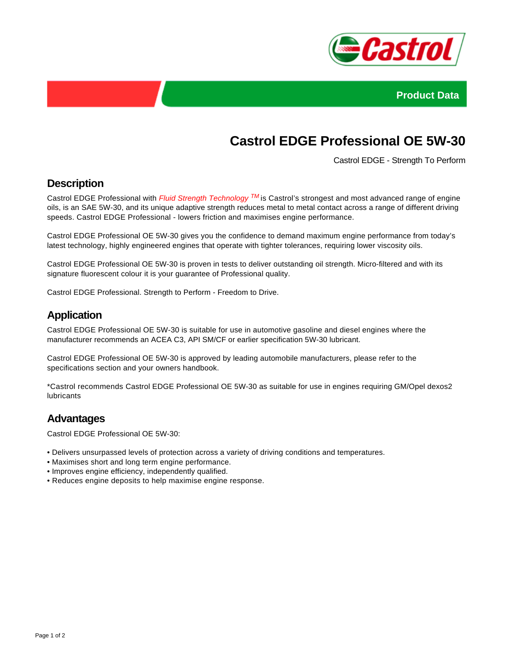



# **Castrol EDGE Professional OE 5W-30**

Castrol EDGE - Strength To Perform

## **Description**

Castrol EDGE Professional with *Fluid Strength Technology* <sup>TM</sup> is Castrol's strongest and most advanced range of engine oils, is an SAE 5W-30, and its unique adaptive strength reduces metal to metal contact across a range of different driving speeds. Castrol EDGE Professional - lowers friction and maximises engine performance.

Castrol EDGE Professional OE 5W-30 gives you the confidence to demand maximum engine performance from today's latest technology, highly engineered engines that operate with tighter tolerances, requiring lower viscosity oils.

Castrol EDGE Professional OE 5W-30 is proven in tests to deliver outstanding oil strength. Micro-filtered and with its signature fluorescent colour it is your guarantee of Professional quality.

Castrol EDGE Professional. Strength to Perform - Freedom to Drive.

#### **Application**

Castrol EDGE Professional OE 5W-30 is suitable for use in automotive gasoline and diesel engines where the manufacturer recommends an ACEA C3, API SM/CF or earlier specification 5W-30 lubricant.

Castrol EDGE Professional OE 5W-30 is approved by leading automobile manufacturers, please refer to the specifications section and your owners handbook.

\*Castrol recommends Castrol EDGE Professional OE 5W-30 as suitable for use in engines requiring GM/Opel dexos2 lubricants

#### **Advantages**

Castrol EDGE Professional OE 5W-30:

- Delivers unsurpassed levels of protection across a variety of driving conditions and temperatures.
- Maximises short and long term engine performance.
- Improves engine efficiency, independently qualified.
- Reduces engine deposits to help maximise engine response.